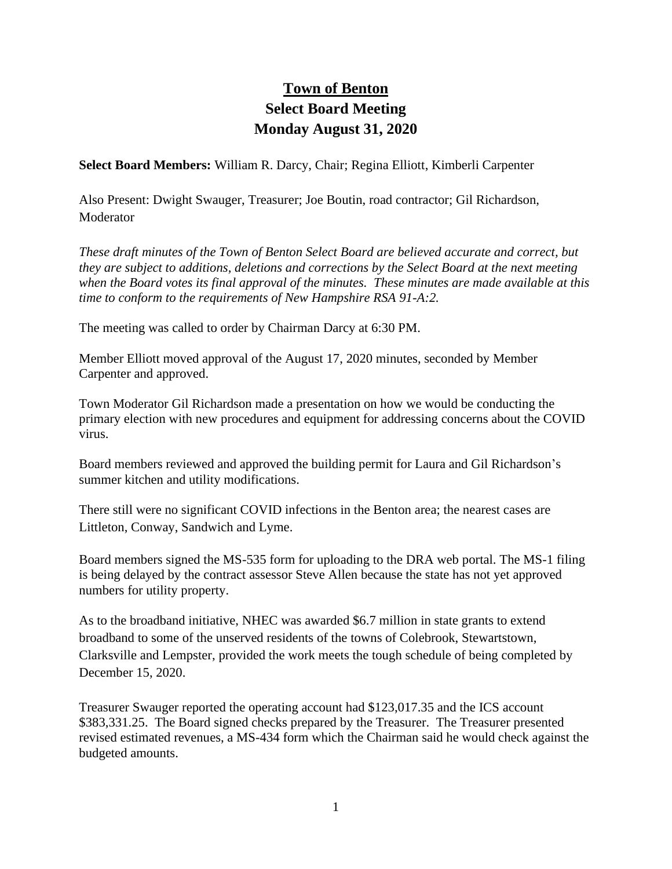## **Town of Benton Select Board Meeting Monday August 31, 2020**

**Select Board Members:** William R. Darcy, Chair; Regina Elliott, Kimberli Carpenter

Also Present: Dwight Swauger, Treasurer; Joe Boutin, road contractor; Gil Richardson, **Moderator** 

*These draft minutes of the Town of Benton Select Board are believed accurate and correct, but they are subject to additions, deletions and corrections by the Select Board at the next meeting when the Board votes its final approval of the minutes. These minutes are made available at this time to conform to the requirements of New Hampshire RSA 91-A:2.*

The meeting was called to order by Chairman Darcy at 6:30 PM.

Member Elliott moved approval of the August 17, 2020 minutes, seconded by Member Carpenter and approved.

Town Moderator Gil Richardson made a presentation on how we would be conducting the primary election with new procedures and equipment for addressing concerns about the COVID virus.

Board members reviewed and approved the building permit for Laura and Gil Richardson's summer kitchen and utility modifications.

There still were no significant COVID infections in the Benton area; the nearest cases are Littleton, Conway, Sandwich and Lyme.

Board members signed the MS-535 form for uploading to the DRA web portal. The MS-1 filing is being delayed by the contract assessor Steve Allen because the state has not yet approved numbers for utility property.

As to the broadband initiative, NHEC was awarded \$6.7 million in state grants to extend broadband to some of the unserved residents of the towns of Colebrook, Stewartstown, Clarksville and Lempster, provided the work meets the tough schedule of being completed by December 15, 2020.

Treasurer Swauger reported the operating account had \$123,017.35 and the ICS account \$383,331.25. The Board signed checks prepared by the Treasurer. The Treasurer presented revised estimated revenues, a MS-434 form which the Chairman said he would check against the budgeted amounts.